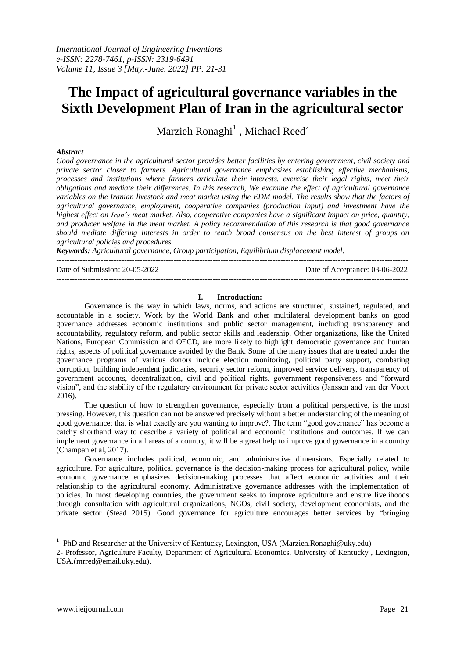# **The Impact of agricultural governance variables in the Sixth Development Plan of Iran in the agricultural sector**

Marzieh Ronaghi $^1$  , Michael Reed<sup>2</sup>

## *Abstract*

*Good governance in the agricultural sector provides better facilities by entering government, civil society and private sector closer to farmers. Agricultural governance emphasizes establishing effective mechanisms, processes and institutions where farmers articulate their interests, exercise their legal rights, meet their obligations and mediate their differences. In this research, We examine the effect of agricultural governance variables on the Iranian livestock and meat market using the EDM model. The results show that the factors of agricultural governance, employment, cooperative companies (production input) and investment have the highest effect on Iran's meat market. Also, cooperative companies have a significant impact on price, quantity, and producer welfare in the meat market. A policy recommendation of this research is that good governance should mediate differing interests in order to reach broad consensus on the best interest of groups on agricultural policies and procedures.* 

*Keywords: Agricultural governance, Group participation, Equilibrium displacement model.* 

Date of Submission: 20-05-2022 Date of Acceptance: 03-06-2022

---------------------------------------------------------------------------------------------------------------------------------------

---------------------------------------------------------------------------------------------------------------------------------------

#### **I. Introduction:**

Governance is the way in which laws, norms, and actions are structured, sustained, regulated, and accountable in a society. Work by the World Bank and other multilateral development banks on good governance addresses economic institutions and public sector management, including transparency and accountability, regulatory reform, and public sector skills and leadership. Other organizations, like the United Nations, European Commission and OECD, are more likely to highlight democratic governance and human rights, aspects of political governance avoided by the Bank. Some of the many issues that are treated under the governance programs of various donors include election monitoring, political party support, combating corruption, building independent judiciaries, security sector reform, improved service delivery, transparency of government accounts, decentralization, civil and political rights, government responsiveness and "forward vision", and the stability of the regulatory environment for private sector activities (Janssen and van der Voort 2016).

The question of how to strengthen governance, especially from a political perspective, is the most pressing. However, this question can not be answered precisely without a better understanding of the meaning of good governance; that is what exactly are you wanting to improve?. The term "good governance" has become a catchy shorthand way to describe a variety of political and economic institutions and outcomes. If we can implement governance in all areas of a country, it will be a great help to improve good governance in a country (Champan et al, 2017).

Governance includes political, economic, and administrative dimensions. Especially related to agriculture. For agriculture, political governance is the decision-making process for agricultural policy, while economic governance emphasizes decision-making processes that affect economic activities and their relationship to the agricultural economy. Administrative governance addresses with the implementation of policies. In most developing countries, the government seeks to improve agriculture and ensure livelihoods through consultation with agricultural organizations, NGOs, civil society, development economists, and the private sector (Stead 2015). Good governance for agriculture encourages better services by "bringing

1

<sup>&</sup>lt;sup>1</sup>- PhD and Researcher at the University of Kentucky, Lexington, USA (Marzieh.Ronaghi@uky.edu)

<sup>2-</sup> Professor, Agriculture Faculty, Department of Agricultural Economics, University of Kentucky , Lexington, USA.[\(mrred@email.uky.edu\)](mailto:mrreed@email.uky.edu).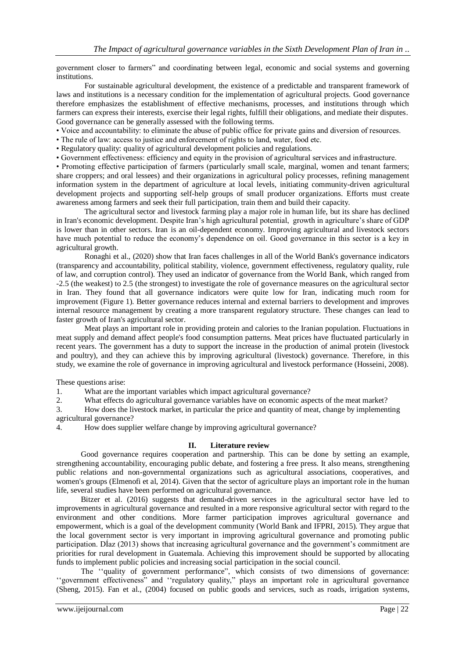government closer to farmers" and coordinating between legal, economic and social systems and governing institutions.

For sustainable agricultural development, the existence of a predictable and transparent framework of laws and institutions is a necessary condition for the implementation of agricultural projects. Good governance therefore emphasizes the establishment of effective mechanisms, processes, and institutions through which farmers can express their interests, exercise their legal rights, fulfill their obligations, and mediate their disputes. Good governance can be generally assessed with the following terms.

- Voice and accountability: to eliminate the abuse of public office for private gains and diversion of resources.
- The rule of law: access to justice and enforcement of rights to land, water, food etc.
- Regulatory quality: quality of agricultural development policies and regulations.
- Government effectiveness: efficiency and equity in the provision of agricultural services and infrastructure.

• Promoting effective participation of farmers (particularly small scale, marginal, women and tenant farmers; share croppers; and oral lessees) and their organizations in agricultural policy processes, refining management information system in the department of agriculture at local levels, initiating community-driven agricultural development projects and supporting self-help groups of small producer organizations. Efforts must create awareness among farmers and seek their full participation, train them and build their capacity.

The agricultural sector and livestock farming play a major role in human life, but its share has declined in Iran's economic development. Despite Iran's high agricultural potential, growth in agriculture's share of GDP is lower than in other sectors. Iran is an oil-dependent economy. Improving agricultural and livestock sectors have much potential to reduce the economy's dependence on oil. Good governance in this sector is a key in agricultural growth.

Ronaghi et al., (2020) show that Iran faces challenges in all of the World Bank's governance indicators (transparency and accountability, political stability, violence, government effectiveness, regulatory quality, rule of law, and corruption control). They used an indicator of governance from the World Bank, which ranged from -2.5 (the weakest) to 2.5 (the strongest) to investigate the role of governance measures on the agricultural sector in Iran. They found that all governance indicators were quite low for Iran, indicating much room for improvement (Figure 1). Better governance reduces internal and external barriers to development and improves internal resource management by creating a more transparent regulatory structure. These changes can lead to faster growth of Iran's agricultural sector.

Meat plays an important role in providing protein and calories to the Iranian population. Fluctuations in meat supply and demand affect people's food consumption patterns. Meat prices have fluctuated particularly in recent years. The government has a duty to support the increase in the production of animal protein (livestock and poultry), and they can achieve this by improving agricultural (livestock) governance. Therefore, in this study, we examine the role of governance in improving agricultural and livestock performance (Hosseini, 2008).

These questions arise:

1. What are the important variables which impact agricultural governance?

2. What effects do agricultural governance variables have on economic aspects of the meat market?

3. How does the livestock market, in particular the price and quantity of meat, change by implementing agricultural governance?

4. How does supplier welfare change by improving agricultural governance?

### **II. Literature review**

Good governance requires cooperation and partnership. This can be done by setting an example, strengthening accountability, encouraging public debate, and fostering a free press. It also means, strengthening public relations and non-governmental organizations such as agricultural associations, cooperatives, and women's groups (Elmenofi et al, 2014). Given that the sector of agriculture plays an important role in the human life, several studies have been performed on agricultural governance.

Bitzer et al. (2016) suggests that demand-driven services in the agricultural sector have led to improvements in agricultural governance and resulted in a more responsive agricultural sector with regard to the environment and other conditions. More farmer participation improves agricultural governance and empowerment, which is a goal of the development community (World Bank and IFPRI, 2015). They argue that the local government sector is very important in improving agricultural governance and promoting public participation. DÍaz (2013) shows that increasing agricultural governance and the government's commitment are priorities for rural development in Guatemala. Achieving this improvement should be supported by allocating funds to implement public policies and increasing social participation in the social council.

The ''quality of government performance", which consists of two dimensions of governance: ''government effectiveness" and ''regulatory quality," plays an important role in agricultural governance (Sheng, 2015). Fan et al., (2004) focused on public goods and services, such as roads, irrigation systems,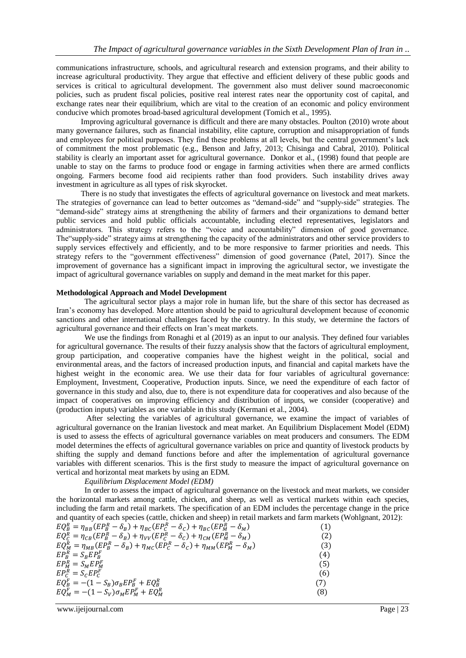communications infrastructure, schools, and agricultural research and extension programs, and their ability to increase agricultural productivity. They argue that effective and efficient delivery of these public goods and services is critical to agricultural development. The government also must deliver sound macroeconomic policies, such as prudent fiscal policies, positive real interest rates near the opportunity cost of capital, and exchange rates near their equilibrium, which are vital to the creation of an economic and policy environment conducive which promotes broad-based agricultural development (Tomich et al., 1995).

Improving agricultural governance is difficult and there are many obstacles. Poulton (2010) wrote about many governance failures, such as financial instability, elite capture, corruption and misappropriation of funds and employees for political purposes. They find these problems at all levels, but the central government's lack of commitment the most problematic (e.g., Benson and Jafry, 2013; Chisinga and Cabral, 2010). Political stability is clearly an important asset for agricultural governance. Donkor et al., (1998) found that people are unable to stay on the farms to produce food or engage in farming activities when there are armed conflicts ongoing. Farmers become food aid recipients rather than food providers. Such instability drives away investment in agriculture as all types of risk skyrocket.

There is no study that investigates the effects of agricultural governance on livestock and meat markets. The strategies of governance can lead to better outcomes as "demand-side" and "supply-side" strategies. The "demand-side" strategy aims at strengthening the ability of farmers and their organizations to demand better public services and hold public officials accountable, including elected representatives, legislators and administrators. This strategy refers to the "voice and accountability" dimension of good governance. The"supply-side" strategy aims at strengthening the capacity of the administrators and other service providers to supply services effectively and efficiently, and to be more responsive to farmer priorities and needs. This strategy refers to the "government effectiveness" dimension of good governance (Patel, 2017). Since the improvement of governance has a significant impact in improving the agricultural sector, we investigate the impact of agricultural governance variables on supply and demand in the meat market for this paper.

### **Methodological Approach and Model Development**

The agricultural sector plays a major role in human life, but the share of this sector has decreased as Iran's economy has developed. More attention should be paid to agricultural development because of economic sanctions and other international challenges faced by the country. In this study, we determine the factors of agricultural governance and their effects on Iran's meat markets.

We use the findings from Ronaghi et al (2019) as an input to our analysis. They defined four variables for agricultural governance. The results of their fuzzy analysis show that the factors of agricultural employment, group participation, and cooperative companies have the highest weight in the political, social and environmental areas, and the factors of increased production inputs, and financial and capital markets have the highest weight in the economic area. We use their data for four variables of agricultural governance: Employment, Investment, Cooperative, Production inputs. Since, we need the expenditure of each factor of governance in this study and also, due to, there is not expenditure data for cooperatives and also because of the impact of cooperatives on improving efficiency and distribution of inputs, we consider (cooperative) and (production inputs) variables as one variable in this study (Kermani et al., 2004).

After selecting the variables of agricultural governance, we examine the impact of variables of agricultural governance on the Iranian livestock and meat market. An Equilibrium Displacement Model (EDM) is used to assess the effects of agricultural governance variables on meat producers and consumers. The EDM model determines the effects of agricultural governance variables on price and quantity of livestock products by shifting the supply and demand functions before and after the implementation of agricultural governance variables with different scenarios. This is the first study to measure the impact of agricultural governance on vertical and horizontal meat markets by using an EDM.

*Equilibrium Displacement Model (EDM)*

In order to assess the impact of agricultural governance on the livestock and meat markets, we consider the horizontal markets among cattle, chicken, and sheep, as well as vertical markets within each species, including the farm and retail markets. The specification of an EDM includes the percentage change in the price and quantity of each species (cattle, chicken and sheep) in retail markets and farm markets (Wohlgnant, 2012):

| $EQ_B^R = \eta_{BB}(EP_B^R - \delta_B) + \eta_{BC}(EP_C^R - \delta_C) + \eta_{BC}(EP_M^R - \delta_M)$                       | (1) |
|-----------------------------------------------------------------------------------------------------------------------------|-----|
| $EQ_{C}^{R} = \eta_{CB}(EP_{B}^{R} - \delta_{B}) + \eta_{VV}(EP_{C}^{R} - \delta_{C}) + \eta_{CM}(EP_{M}^{R} - \delta_{M})$ | (2) |
| $EQ_M^R = \eta_{MB}(EP_B^R - \delta_B) + \eta_{MC}(EP_C^R - \delta_C) + \eta_{MM}(EP_M^R - \delta_M)$                       | (3) |
| $E P_R^R = S_R E P_R^F$                                                                                                     | (4) |
| $EP_M^R = S_MEP_M^F$                                                                                                        | (5) |
| $EP_c^R = S_cEP_c^F$                                                                                                        | (6) |
| $EQ_B^F = -(1 - S_B) \sigma_B E P_B^F + E Q_B^R$                                                                            | (7) |
| $EQ_M^F = -(1 - S_V) \sigma_M E P_M^F + E Q_M^R$                                                                            | (8) |

www.ijeijournal.com Page | 23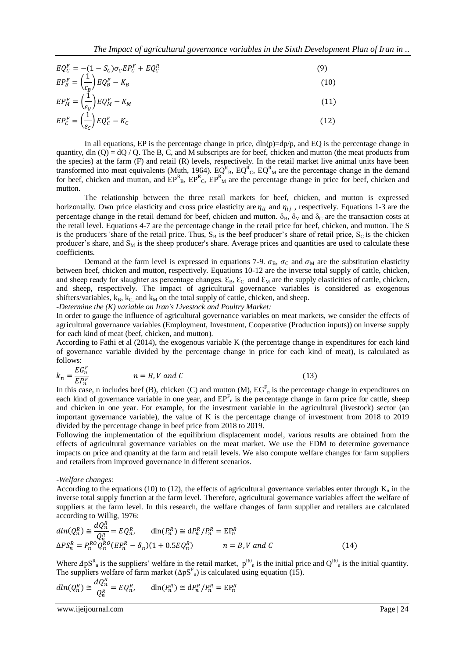$$
EQ_C^F = -(1 - S_C)\sigma_C EP_C^F + EQ_C^R \tag{9}
$$

$$
EP_B^F = \left(\frac{1}{\varepsilon_B}\right)EQ_B^F - K_B\tag{10}
$$

$$
EP_M^F = \left(\frac{1}{\varepsilon_V}\right)EQ_M^F - K_M\tag{11}
$$

$$
EP_C^F = \left(\frac{1}{\varepsilon_C}\right)EQ_C^F - K_C\tag{12}
$$

In all equations, EP is the percentage change in price,  $dln(p)=dp/p$ , and EQ is the percentage change in quantity, dln  $(Q) = dQ / Q$ . The B, C, and M subscripts are for beef, chicken and mutton (the meat products from the species) at the farm (F) and retail (R) levels, respectively. In the retail market live animal units have been transformed into meat equivalents (Muth, 1964).  $EQ_{B}^{R}$ ,  $EQ_{C}^{R}$ ,  $EQ_{M}^{R}$  are the percentage change in the demand for beef, chicken and mutton, and  $EP_{B}^{R}$ ,  $EP_{C}^{R}$ ,  $EP_{M}^{R}$  are the percentage change in price for beef, chicken and mutton.

The relationship between the three retail markets for beef, chicken, and mutton is expressed horizontally. Own price elasticity and cross price elasticity are  $\eta_{ii}$  and  $\eta_{ij}$ , respectively. Equations 1-3 are the percentage change in the retail demand for beef, chicken and mutton.  $\delta_B$ ,  $\delta_V$  and  $\delta_C$  are the transaction costs at the retail level. Equations 4-7 are the percentage change in the retail price for beef, chicken, and mutton. The S is the producers 'share of the retail price. Thus,  $S_B$  is the beef producer's share of retail price,  $S_C$  is the chicken producer's share, and  $S_M$  is the sheep producer's share. Average prices and quantities are used to calculate these coefficients.

Demand at the farm level is expressed in equations 7-9.  $\sigma_{\rm B}$ ,  $\sigma_{\rm C}$  and  $\sigma_{\rm M}$  are the substitution elasticity between beef, chicken and mutton, respectively. Equations 10-12 are the inverse total supply of cattle, chicken, and sheep ready for slaughter as percentage changes.  $\mathcal{E}_B$ ,  $\mathcal{E}_C$  and  $\mathcal{E}_M$  are the supply elasticities of cattle, chicken, and sheep, respectively. The impact of agricultural governance variables is considered as exogenous shifters/variables,  $k_B$ ,  $k_C$  and  $k_M$  on the total supply of cattle, chicken, and sheep.

*-Determine the (K) variable on Iran's Livestock and Poultry Market:*

In order to gauge the influence of agricultural governance variables on meat markets, we consider the effects of agricultural governance variables (Employment, Investment, Cooperative (Production inputs)) on inverse supply for each kind of meat (beef, chicken, and mutton).

According to Fathi et al (2014), the exogenous variable K (the percentage change in expenditures for each kind of governance variable divided by the percentage change in price for each kind of meat), is calculated as follows:

$$
k_n = \frac{EG_n^F}{EP_n^F} \qquad n = B, V \text{ and } C \tag{13}
$$

In this case, n includes beef (B), chicken (C) and mutton (M),  $EG<sup>F</sup><sub>n</sub>$  is the percentage change in expenditures on each kind of governance variable in one year, and  $EP<sup>F</sup><sub>n</sub>$  is the percentage change in farm price for cattle, sheep and chicken in one year. For example, for the investment variable in the agricultural (livestock) sector (an important governance variable), the value of K is the percentage change of investment from 2018 to 2019 divided by the percentage change in beef price from 2018 to 2019.

Following the implementation of the equilibrium displacement model, various results are obtained from the effects of agricultural governance variables on the meat market. We use the EDM to determine governance impacts on price and quantity at the farm and retail levels. We also compute welfare changes for farm suppliers and retailers from improved governance in different scenarios.

#### *-Welfare changes:*

According to the equations (10) to (12), the effects of agricultural governance variables enter through  $K_n$  in the inverse total supply function at the farm level. Therefore, agricultural governance variables affect the welfare of suppliers at the farm level. In this research, the welfare changes of farm supplier and retailers are calculated according to Willig, 1976:

$$
dln(Q_n^R) \cong \frac{dQ_n^R}{Q_n^R} = EQ_n^R, \qquad \text{dln}(P_n^R) \cong dP_n^R / P_n^R = \text{EP}_n^R
$$
  
\n
$$
\Delta PS_n^R = P_n^{RO} Q_n^{RO} (EP_n^R - \delta_n)(1 + 0.5EQ_n^R) \qquad n = B, V \text{ and } C
$$
\n(14)

Where  $\Delta pS_{n}^{R}$  is the suppliers' welfare in the retail market,  $p^{R0}_{n}$  is the initial price and  $Q^{R0}_{n}$  is the initial quantity. The suppliers welfare of farm market  $(\Delta pS^F)_n$  is calculated using equation (15).

$$
dln(Q_n^R) \cong \frac{dQ_n^R}{Q_n^R} = EQ_n^R, \qquad \mathrm{dln}(P_n^R) \cong \mathrm{d}P_n^R/P_n^R = \mathrm{E}P_n^R
$$

www.ijeijournal.com Page | 24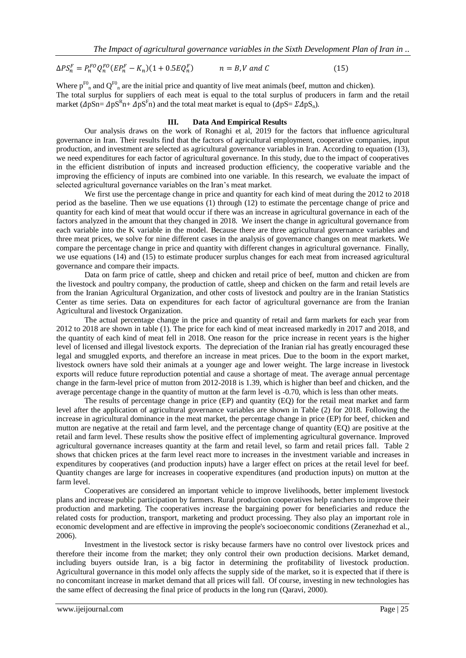$$
\Delta PS_n^F = P_n^{FO} Q_n^{FO} (EP_n^F - K_n)(1 + 0.5EQ_n^F) \qquad n = B, V \text{ and } C \tag{15}
$$

Where  $p^{F0}$  and  $Q^{F0}$  are the initial price and quantity of live meat animals (beef, mutton and chicken). The total surplus for suppliers of each meat is equal to the total surplus of producers in farm and the retail market ( $\Delta pSn = \Delta pS^Rn + \Delta pS^Fn$ ) and the total meat market is equal to ( $\Delta pS = \Sigma \Delta pS_n$ ).

#### **III. Data And Empirical Results**

Our analysis draws on the work of Ronaghi et al, 2019 for the factors that influence agricultural governance in Iran. Their results find that the factors of agricultural employment, cooperative companies, input production, and investment are selected as agricultural governance variables in Iran. According to equation (13), we need expenditures for each factor of agricultural governance. In this study, due to the impact of cooperatives in the efficient distribution of inputs and increased production efficiency, the cooperative variable and the improving the efficiency of inputs are combined into one variable. In this research, we evaluate the impact of selected agricultural governance variables on the Iran's meat market.

We first use the percentage change in price and quantity for each kind of meat during the 2012 to 2018 period as the baseline. Then we use equations (1) through (12) to estimate the percentage change of price and quantity for each kind of meat that would occur if there was an increase in agricultural governance in each of the factors analyzed in the amount that they changed in 2018. We insert the change in agricultural governance from each variable into the K variable in the model. Because there are three agricultural governance variables and three meat prices, we solve for nine different cases in the analysis of governance changes on meat markets. We compare the percentage change in price and quantity with different changes in agricultural governance. Finally, we use equations (14) and (15) to estimate producer surplus changes for each meat from increased agricultural governance and compare their impacts.

Data on farm price of cattle, sheep and chicken and retail price of beef, mutton and chicken are from the livestock and poultry company, the production of cattle, sheep and chicken on the farm and retail levels are from the Iranian Agricultural Organization, and other costs of livestock and poultry are in the Iranian Statistics Center as time series. Data on expenditures for each factor of agricultural governance are from the Iranian Agricultural and livestock Organization.

The actual percentage change in the price and quantity of retail and farm markets for each year from 2012 to 2018 are shown in table (1). The price for each kind of meat increased markedly in 2017 and 2018, and the quantity of each kind of meat fell in 2018. One reason for the price increase in recent years is the higher level of licensed and illegal livestock exports. The depreciation of the Iranian rial has greatly encouraged these legal and smuggled exports, and therefore an increase in meat prices. Due to the boom in the export market, livestock owners have sold their animals at a younger age and lower weight. The large increase in livestock exports will reduce future reproduction potential and cause a shortage of meat. The average annual percentage change in the farm-level price of mutton from 2012-2018 is 1.39, which is higher than beef and chicken, and the average percentage change in the quantity of mutton at the farm level is -0.70, which is less than other meats.

The results of percentage change in price (EP) and quantity (EQ) for the retail meat market and farm level after the application of agricultural governance variables are shown in Table (2) for 2018. Following the increase in agricultural dominance in the meat market, the percentage change in price (EP) for beef, chicken and mutton are negative at the retail and farm level, and the percentage change of quantity (EQ) are positive at the retail and farm level. These results show the positive effect of implementing agricultural governance. Improved agricultural governance increases quantity at the farm and retail level, so farm and retail prices fall. Table 2 shows that chicken prices at the farm level react more to increases in the investment variable and increases in expenditures by cooperatives (and production inputs) have a larger effect on prices at the retail level for beef. Quantity changes are large for increases in cooperative expenditures (and production inputs) on mutton at the farm level.

Cooperatives are considered an important vehicle to improve livelihoods, better implement livestock plans and increase public participation by farmers. Rural production cooperatives help ranchers to improve their production and marketing. The cooperatives increase the bargaining power for beneficiaries and reduce the related costs for production, transport, marketing and product processing. They also play an important role in economic development and are effective in improving the people's socioeconomic conditions (Zeranezhad et al., 2006).

Investment in the livestock sector is risky because farmers have no control over livestock prices and therefore their income from the market; they only control their own production decisions. Market demand, including buyers outside Iran, is a big factor in determining the profitability of livestock production. Agricultural governance in this model only affects the supply side of the market, so it is expected that if there is no concomitant increase in market demand that all prices will fall. Of course, investing in new technologies has the same effect of decreasing the final price of products in the long run (Qaravi, 2000).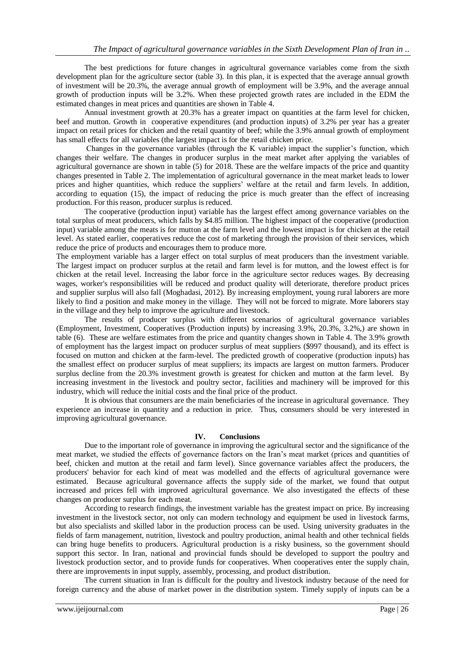The best predictions for future changes in agricultural governance variables come from the sixth development plan for the agriculture sector (table 3). In this plan, it is expected that the average annual growth of investment will be 20.3%, the average annual growth of employment will be 3.9%, and the average annual growth of production inputs will be 3.2%. When these projected growth rates are included in the EDM the estimated changes in meat prices and quantities are shown in Table 4.

Annual investment growth at 20.3% has a greater impact on quantities at the farm level for chicken, beef and mutton. Growth in cooperative expenditures (and production inputs) of 3.2% per year has a greater impact on retail prices for chicken and the retail quantity of beef; while the 3.9% annual growth of employment has small effects for all variables (the largest impact is for the retail chicken price.

Changes in the governance variables (through the K variable) impact the supplier's function, which changes their welfare. The changes in producer surplus in the meat market after applying the variables of agricultural governance are shown in table (5) for 2018. These are the welfare impacts of the price and quantity changes presented in Table 2. The implementation of agricultural governance in the meat market leads to lower prices and higher quantities, which reduce the suppliers' welfare at the retail and farm levels. In addition, according to equation (15), the impact of reducing the price is much greater than the effect of increasing production. For this reason, producer surplus is reduced.

The cooperative (production input) variable has the largest effect among governance variables on the total surplus of meat producers, which falls by \$4.85 million. The highest impact of the cooperative (production input) variable among the meats is for mutton at the farm level and the lowest impact is for chicken at the retail level. As stated earlier, cooperatives reduce the cost of marketing through the provision of their services, which reduce the price of products and encourages them to produce more.

The employment variable has a larger effect on total surplus of meat producers than the investment variable. The largest impact on producer surplus at the retail and farm level is for mutton, and the lowest effect is for chicken at the retail level. Increasing the labor force in the agriculture sector reduces wages. By decreasing wages, worker's responsibilities will be reduced and product quality will deteriorate, therefore product prices and supplier surplus will also fall (Moghadasi, 2012). By increasing employment, young rural laborers are more likely to find a position and make money in the village. They will not be forced to migrate. More laborers stay in the village and they help to improve the agriculture and livestock.

The results of producer surplus with different scenarios of agricultural governance variables (Employment, Investment, Cooperatives (Production inputs) by increasing 3.9%, 20.3%, 3.2%,) are shown in table (6). These are welfare estimates from the price and quantity changes shown in Table 4. The 3.9% growth of employment has the largest impact on producer surplus of meat suppliers (\$997 thousand), and its effect is focused on mutton and chicken at the farm-level. The predicted growth of cooperative (production inputs) has the smallest effect on producer surplus of meat suppliers; its impacts are largest on mutton farmers. Producer surplus decline from the 20.3% investment growth is greatest for chicken and mutton at the farm level. By increasing investment in the livestock and poultry sector, facilities and machinery will be improved for this industry, which will reduce the initial costs and the final price of the product.

It is obvious that consumers are the main beneficiaries of the increase in agricultural governance. They experience an increase in quantity and a reduction in price. Thus, consumers should be very interested in improving agricultural governance.

### **IV. Conclusions**

Due to the important role of governance in improving the agricultural sector and the significance of the meat market, we studied the effects of governance factors on the Iran's meat market (prices and quantities of beef, chicken and mutton at the retail and farm level). Since governance variables affect the producers, the producers' behavior for each kind of meat was modelled and the effects of agricultural governance were estimated. Because agricultural governance affects the supply side of the market, we found that output increased and prices fell with improved agricultural governance. We also investigated the effects of these changes on producer surplus for each meat.

According to research findings, the investment variable has the greatest impact on price. By increasing investment in the livestock sector, not only can modern technology and equipment be used in livestock farms, but also specialists and skilled labor in the production process can be used. Using university graduates in the fields of farm management, nutrition, livestock and poultry production, animal health and other technical fields can bring huge benefits to producers. Agricultural production is a risky business, so the government should support this sector. In Iran, national and provincial funds should be developed to support the poultry and livestock production sector, and to provide funds for cooperatives. When cooperatives enter the supply chain, there are improvements in input supply, assembly, processing, and product distribution.

The current situation in Iran is difficult for the poultry and livestock industry because of the need for foreign currency and the abuse of market power in the distribution system. Timely supply of inputs can be a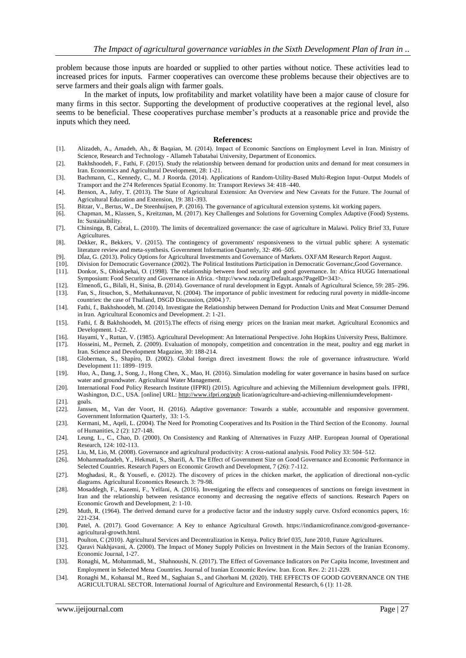problem because those inputs are hoarded or supplied to other parties without notice. These activities lead to increased prices for inputs. Farmer cooperatives can overcome these problems because their objectives are to serve farmers and their goals align with farmer goals.

In the market of inputs, low profitability and market volatility have been a major cause of closure for many firms in this sector. Supporting the development of productive cooperatives at the regional level, also seems to be beneficial. These cooperatives purchase member's products at a reasonable price and provide the inputs which they need.

#### **References:**

- [1]. Alizadeh, A., Amadeh, Ah., & Baqaian, M. (2014). Impact of Economic Sanctions on Employment Level in Iran. Ministry of Science, Research and Technology - Allameh Tabatabai University, Department of Economics.
- [2]. Bakhshoodeh, F., Fathi, F. (2015). Study the relationship between demand for production units and demand for meat consumers in Iran. Economics and Agricultural Development, 28: 1-21.
- [3]. Bachmann, C., Kennedy, C., M. J Roorda. (2014). Applications of Random-Utility-Based Multi-Region Input–Output Models of Transport and the 274 References Spatial Economy. In: Transport Reviews 34: 418–440.
- [4]. Benson, A., Jafry, T. (2013). The State of Agricultural Extension: An Overview and New Caveats for the Future. The Journal of Agricultural Education and Extension, 19: 381-393.
- [5]. Bitzar, V., Bertus, W., De Steenhuijsen, P. (2016). The governance of agricultural extension systems. kit working papers.
- [6]. Chapman, M., Klassen, S., Kreitzman, M. (2017). Key Challenges and Solutions for Governing Complex Adaptive (Food) Systems. In: Sustainability.
- [7]. Chinsinga, B, Cabral, L. (2010). The limits of decentralized governance: the case of agriculture in Malawi. Policy Brief 33, Future Agricultures.
- [8]. Dekker, R., Bekkers, V. (2015). The contingency of governments' responsiveness to the virtual public sphere: A systematic literature review and meta-synthesis. Government Information Quarterly, 32: 496–505.
- [9]. DÍaz, G. (2013). Policy Options for Agricultural Investments and Governance of Markets. OXFAM Research Report August.
- [10]. Division for Democratic Governance (2002). The Political Institutions Participation in Democratic Governanc,Good Governance.
- [11]. Donkor, S., Ohiokpehai, O. (1998). The relationship between food security and good governance. In: Africa HUGG International Symposium: Food Security and Governance in Africa. <http://www.toda.org/Default.aspx?PageID=343>.
- [12]. Elmenofi, G., Bilali, H., Sinisa, B. (2014). Governance of rural development in Egypt. Annals of Agricultural Science, 59: 285–296.
- [13]. Fan, S., Jitsuchon, S., Methakunnavut, N. (2004). The importance of public investment for reducing rural poverty in middle-income countries: the case of Thailand, DSGD Discussion, (2004.) 7.
- [14]. Fathi, f., Bakhshoodeh, M. (2014). Investigate the Relationship between Demand for Production Units and Meat Consumer Demand in Iran. Agricultural Economics and Development. 2: 1-21.
- [15]. Fathi, f. & Bakhshoodeh, M. (2015).The effects of rising energy prices on the Iranian meat market. Agricultural Economics and Development. 1-22.
- [16]. Hayami, Y., Ruttan, V. (1985). Agricultural Development: An International Perspective. John Hopkins University Press, Baltimore.
- [17]. Hosseini, M., Permeh, Z. (2009). Evaluation of monopoly, competition and concentration in the meat, poultry and egg market in Iran. Science and Development Magazine, 30: 188-214.
- [18]. Globerman, S., Shapiro, D. (2002). Global foreign direct investment flows: the role of governance infrastructure. World Development 11: 1899–1919.
- [19]. Huo, A., Dang, J., Song, J., Hong Chen, X., Mao, H. (2016). Simulation modeling for water governance in basins based on surface water and groundwater. Agricultural Water Management.
- [20]. International Food Policy Research Institute (IFPRI) (2015). Agriculture and achieving the Millennium development goals. IFPRI, Washington, D.C., USA. [online] URL[: http://www.ifpri.org/pub](http://www.ifpri.org/pub) lication/agriculture-and-achieving-millenniumdevelopment-
- [21]. goals.
- [22]. Janssen, M., Van der Voort, H. (2016). Adaptive governance: Towards a stable, accountable and responsive government. Government Information Quarterly, 33: 1-5.
- [23]. Kermani, M., Aqeli, L. (2004). The Need for Promoting Cooperatives and Its Position in the Third Section of the Economy. Journal of Humanities, 2 (2): 127-148.
- [24]. Leung, L., C., Chao, D. (2000). On Consistency and Ranking of Alternatives in Fuzzy AHP. European Journal of Operational Research, 124: 102-113.
- [25]. Liu, M, Lio, M. (2008). Governance and agricultural productivity: A cross-national analysis. Food Policy 33: 504–512.
- [26]. Mohammadzadeh, Y., Hekmati, S., Sharifi, A. The Effect of Government Size on Good Governance and Economic Performance in Selected Countries. Research Papers on Economic Growth and Development, 7 (26): 7-112.
- [27]. Moghadasi, R., & Yousefi, e. (2012). The discovery of prices in the chicken market, the application of directional non-cyclic diagrams. Agricultural Economics Research. 3: 79-98.
- [28]. Mosaddegh, F., Kazemi, F., Yelfani, A. (2016). Investigating the effects and consequences of sanctions on foreign investment in Iran and the relationship between resistance economy and decreasing the negative effects of sanctions. Research Papers on Economic Growth and Development, 2: 1-10.
- [29]. Muth, R. (1964). The derived demand curve for a productive factor and the industry supply curve. Oxford economics papers, 16: 221-234.
- [30]. Patel, A. (2017). Good Governance: A Key to enhance Agricultural Growth. https://indiamicrofinance.com/good-governanceagricultural-growth.html.
- [31]. Poulton, C (2010). Agricultural Services and Decentralization in Kenya. Policy Brief 035, June 2010, Future Agricultures.
- [32]. Qaravi Nakhjavani, A. (2000). The Impact of Money Supply Policies on Investment in the Main Sectors of the Iranian Economy. Economic Journal, 1-27.
- [33]. Ronaghi, M,. Mohammadi, M., Shahnoushi, N. (2017). The Effect of Governance Indicators on Per Capita Income, Investment and Employment in Selected Mena Countries. Journal of Iranian Economic Review. Iran. Econ. Rev. 2: 211-229.
- [34]. Ronaghi M., Kohansal M., Reed M., Saghaian S., and Ghorbani M. (2020). THE EFFECTS OF GOOD GOVERNANCE ON THE AGRICULTURAL SECTOR. International Journal of Agriculture and Environmental Research, 6 (1): 11-28.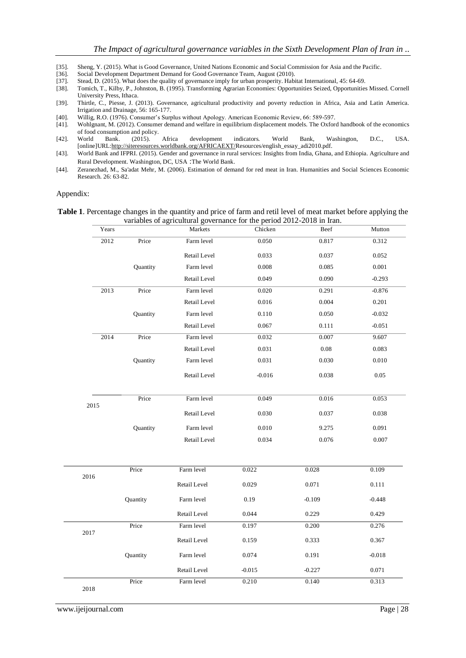- [35]. Sheng, Y. (2015). What is Good Governance, United Nations Economic and Social Commission for Asia and the Pacific. [36]. Social Development Department Demand for Good Governance Team, August (2010).
- [36]. Social Development Department Demand for Good Governance Team, August (2010).<br>[37]. Stead, D. (2015). What does the quality of governance imply for urban prosperity. Hab
- Stead, D. (2015). What does the quality of governance imply for urban prosperity. Habitat International, 45: 64-69.
- [38]. Tomich, T., Kilby, P., Johnston, B. (1995). Transforming Agrarian Economies: Opportunities Seized, Opportunities Missed. Cornell University Press, Ithaca.
- [39]. Thirtle, C., Piesse, J. (2013). Governance, agricultural productivity and poverty reduction in Africa, Asia and Latin America. Irrigation and Drainage, 56: 165-177.
- [40]. Willig, R.O. (1976). Consumer's Surplus without Apology. American Economic Review, 66: 589-597.
- Wohlgnant, M. (2012). Consumer demand and welfare in equilibrium displacement models. The Oxford handbook of the economics of food consumption and policy.
- [42]. World Bank. (2015). Africa development indicators*.* World Bank, Washington, D.C., USA. [online]UR[L:http://siteresources.worldbank.org/AFRICAEXT/R](http://siteresources.worldbank.org/AFRICAEXT/)esources/english\_essay\_adi2010.pdf.
- [43]. World Bank and IFPRI. (2015). Gender and governance in rural services: Insights from India, Ghana, and Ethiopia. Agriculture and Rural Development. Washington, DC, USA :The World Bank.
- [44]. Zeranezhad, M., Sa'adat Mehr, M. (2006). Estimation of demand for red meat in Iran. Humanities and Social Sciences Economic Research. 26: 63-82.

#### Appendix:

|  | Table 1. Percentage changes in the quantity and price of farm and retil level of meat market before applying the |  |  |  |  |  |
|--|------------------------------------------------------------------------------------------------------------------|--|--|--|--|--|
|  | variables of agricultural governance for the period 2012-2018 in Iran.                                           |  |  |  |  |  |

| Years |          | Markets      | Chicken  | Beef     | Mutton   |
|-------|----------|--------------|----------|----------|----------|
| 2012  | Price    | Farm level   | 0.050    | 0.817    | 0.312    |
|       |          | Retail Level | 0.033    | 0.037    | 0.052    |
|       | Quantity | Farm level   | 0.008    | 0.085    | 0.001    |
|       |          | Retail Level | 0.049    | 0.090    | $-0.293$ |
| 2013  | Price    | Farm level   | 0.020    | 0.291    | $-0.876$ |
|       |          | Retail Level | 0.016    | 0.004    | 0.201    |
|       | Quantity | Farm level   | 0.110    | 0.050    | $-0.032$ |
|       |          | Retail Level | 0.067    | 0.111    | $-0.051$ |
| 2014  | Price    | Farm level   | 0.032    | 0.007    | 9.607    |
|       |          | Retail Level | 0.031    | $0.08\,$ | 0.083    |
|       | Quantity | Farm level   | 0.031    | 0.030    | 0.010    |
|       |          | Retail Level | $-0.016$ | 0.038    | $0.05\,$ |
| 2015  | Price    | Farm level   | 0.049    | 0.016    | 0.053    |
|       |          | Retail Level | 0.030    | 0.037    | 0.038    |
|       | Quantity | Farm level   | 0.010    | 9.275    | 0.091    |
|       |          | Retail Level | 0.034    | 0.076    | 0.007    |
|       | Price    | Farm level   | 0.022    | 0.028    | 0.109    |
| 2016  |          | Retail Level | 0.029    | 0.071    | 0.111    |
|       | Quantity | Farm level   | 0.19     | $-0.109$ | $-0.448$ |
|       |          | Retail Level | 0.044    | 0.229    | 0.429    |
|       | Price    | Farm level   | 0.197    | 0.200    | 0.276    |
| 2017  |          | Retail Level | 0.159    | 0.333    | 0.367    |
|       | Quantity | Farm level   | 0.074    | 0.191    | $-0.018$ |
|       |          | Retail Level | $-0.015$ | $-0.227$ | 0.071    |
| 2018  | Price    | Farm level   | 0.210    | 0.140    | 0.313    |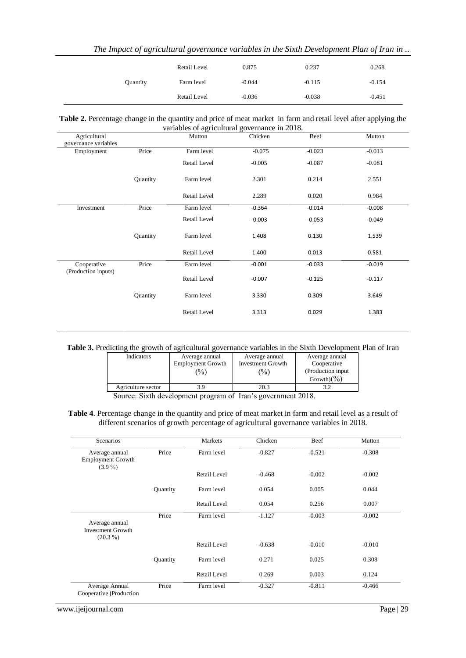|  |  |  |  |  |  |  |  | The Impact of agricultural governance variables in the Sixth Development Plan of Iran in |  |  |  |
|--|--|--|--|--|--|--|--|------------------------------------------------------------------------------------------|--|--|--|
|--|--|--|--|--|--|--|--|------------------------------------------------------------------------------------------|--|--|--|

|          | Retail Level | 0.875    | 0.237    | 0.268    |
|----------|--------------|----------|----------|----------|
| Quantity | Farm level   | $-0.044$ | $-0.115$ | $-0.154$ |
|          | Retail Level | $-0.036$ | $-0.038$ | $-0.451$ |

| Table 2. Percentage change in the quantity and price of meat market in farm and retail level after applying the |
|-----------------------------------------------------------------------------------------------------------------|
| variables of agricultural governance in 2018.                                                                   |

| Agricultural<br>governance variables |          | Mutton       | Chicken  | Beef     | Mutton   |
|--------------------------------------|----------|--------------|----------|----------|----------|
| Employment                           | Price    | Farm level   | $-0.075$ | $-0.023$ | $-0.013$ |
|                                      |          | Retail Level | $-0.005$ | $-0.087$ | $-0.081$ |
|                                      | Quantity | Farm level   | 2.301    | 0.214    | 2.551    |
|                                      |          | Retail Level | 2.289    | 0.020    | 0.984    |
| Investment                           | Price    | Farm level   | $-0.364$ | $-0.014$ | $-0.008$ |
|                                      |          | Retail Level | $-0.003$ | $-0.053$ | $-0.049$ |
|                                      | Quantity | Farm level   | 1.408    | 0.130    | 1.539    |
|                                      |          | Retail Level | 1.400    | 0.013    | 0.581    |
| Cooperative<br>(Production inputs)   | Price    | Farm level   | $-0.001$ | $-0.033$ | $-0.019$ |
|                                      |          | Retail Level | $-0.007$ | $-0.125$ | $-0.117$ |
|                                      | Quantity | Farm level   | 3.330    | 0.309    | 3.649    |
|                                      |          | Retail Level | 3.313    | 0.029    | 1.383    |

# **Table 3.** Predicting the growth of agricultural governance variables in the Sixth Development Plan of Iran

| Indicators         | Average annual           | Average annual           | Average annual          |
|--------------------|--------------------------|--------------------------|-------------------------|
|                    | <b>Employment Growth</b> | <b>Investment Growth</b> | Cooperative             |
|                    | $\frac{1}{2}$            | $\frac{(0)}{0}$          | (Production input)      |
|                    |                          |                          | Growth) $(\frac{9}{6})$ |
| Agriculture sector |                          | 20.3                     |                         |

Source: Sixth development program of Iran's government 2018.

**Table 4**. Percentage change in the quantity and price of meat market in farm and retail level as a result of different scenarios of growth percentage of agricultural governance variables in 2018.

| Scenarios                                                |          | Markets      | Chicken  | Beef     | Mutton   |
|----------------------------------------------------------|----------|--------------|----------|----------|----------|
| Average annual<br><b>Employment Growth</b><br>$(3.9\%)$  | Price    | Farm level   | $-0.827$ | $-0.521$ | $-0.308$ |
|                                                          |          | Retail Level | $-0.468$ | $-0.002$ | $-0.002$ |
|                                                          | Quantity | Farm level   | 0.054    | 0.005    | 0.044    |
|                                                          |          | Retail Level | 0.054    | 0.256    | 0.007    |
| Average annual<br><b>Investment Growth</b><br>$(20.3\%)$ | Price    | Farm level   | $-1.127$ | $-0.003$ | $-0.002$ |
|                                                          |          | Retail Level | $-0.638$ | $-0.010$ | $-0.010$ |
|                                                          | Quantity | Farm level   | 0.271    | 0.025    | 0.308    |
|                                                          |          | Retail Level | 0.269    | 0.003    | 0.124    |
| Average Annual<br>Cooperative (Production                | Price    | Farm level   | $-0.327$ | $-0.811$ | $-0.466$ |

www.ijeijournal.com Page | 29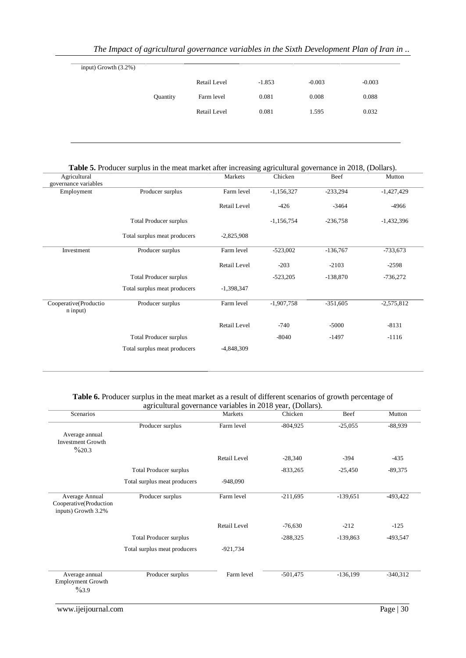| input) Growth $(3.2%)$ |          |              |          |          |          |
|------------------------|----------|--------------|----------|----------|----------|
|                        |          | Retail Level | $-1.853$ | $-0.003$ | $-0.003$ |
|                        | Quantity | Farm level   | 0.081    | 0.008    | 0.088    |
|                        |          | Retail Level | 0.081    | 1.595    | 0.032    |
|                        |          |              |          |          |          |

| Table 5. Producer surplus in the meat market after increasing agricultural governance in 2018, (Dollars). |  |  |  |  |  |  |  |  |  |  |  |
|-----------------------------------------------------------------------------------------------------------|--|--|--|--|--|--|--|--|--|--|--|
|-----------------------------------------------------------------------------------------------------------|--|--|--|--|--|--|--|--|--|--|--|

| Agricultural                      |                               | Markets             | Chicken      | Beef       | Mutton       |
|-----------------------------------|-------------------------------|---------------------|--------------|------------|--------------|
| governance variables              |                               |                     |              |            |              |
| Employment                        | Producer surplus              | Farm level          | $-1,156,327$ | $-233,294$ | $-1,427,429$ |
|                                   |                               | Retail Level        | $-426$       | $-3464$    | -4966        |
|                                   | <b>Total Producer surplus</b> |                     | $-1,156,754$ | $-236,758$ | $-1,432,396$ |
|                                   | Total surplus meat producers  | $-2,825,908$        |              |            |              |
| Investment                        | Producer surplus              | Farm level          | $-523,002$   | $-136,767$ | $-733,673$   |
|                                   |                               | Retail Level        | $-203$       | $-2103$    | $-2598$      |
|                                   | <b>Total Producer surplus</b> |                     | $-523,205$   | $-138,870$ | $-736,272$   |
|                                   | Total surplus meat producers  | $-1,398,347$        |              |            |              |
| Cooperative(Productio<br>n input) | Producer surplus              | Farm level          | $-1,907,758$ | $-351,605$ | $-2,575,812$ |
|                                   |                               | <b>Retail Level</b> | $-740$       | $-5000$    | $-8131$      |
|                                   | <b>Total Producer surplus</b> |                     | $-8040$      | $-1497$    | $-1116$      |
|                                   | Total surplus meat producers  | -4,848,309          |              |            |              |
|                                   |                               |                     |              |            |              |

## **Table 6.** Producer surplus in the meat market as a result of different scenarios of growth percentage of agricultural governance variables in 2018 year, (Dollars).

| Scenarios                                                       |                              | Markets      | Chicken    | Beef       | Mutton     |
|-----------------------------------------------------------------|------------------------------|--------------|------------|------------|------------|
|                                                                 | Producer surplus             | Farm level   | $-804,925$ | $-25,055$  | $-88,939$  |
| Average annual<br><b>Investment Growth</b><br>$\%20.3$          |                              |              |            |            |            |
|                                                                 |                              | Retail Level | $-28,340$  | $-394$     | $-435$     |
|                                                                 | Total Producer surplus       |              | $-833,265$ | $-25,450$  | $-89,375$  |
|                                                                 | Total surplus meat producers | $-948,090$   |            |            |            |
| Average Annual<br>Cooperative(Production<br>inputs) Growth 3.2% | Producer surplus             | Farm level   | $-211,695$ | $-139,651$ | $-493,422$ |
|                                                                 |                              | Retail Level | $-76,630$  | $-212$     | $-125$     |
|                                                                 | Total Producer surplus       |              | $-288,325$ | $-139,863$ | -493,547   |
|                                                                 | Total surplus meat producers | $-921,734$   |            |            |            |
| Average annual<br><b>Employment Growth</b><br>$\%3.9$           | Producer surplus             | Farm level   | $-501,475$ | $-136,199$ | $-340,312$ |